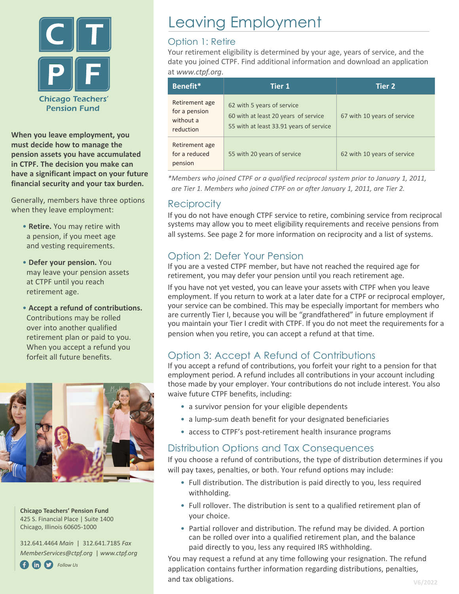

**When you leave employment, you must decide how to manage the pension assets you have accumulated in CTPF. The decision you make can have a significant impact on your future financial security and your tax burden.** 

Generally, members have three options when they leave employment:

- **Retire.** You may retire with a pension, if you meet age and vesting requirements.
- **Defer your pension.** You may leave your pension assets at CTPF until you reach retirement age.
- **Accept a refund of contributions.**  Contributions may be rolled over into another qualified retirement plan or paid to you. When you accept a refund you forfeit all future benefits.



**Chicago Teachers' Pension Fund** 425 S. Financial Place | Suite 1400 Chicago, Illinois 60605-1000

312.641.4464 *Main* | 312.641.7185 *Fax MemberServices@ctpf.org* | *www.ctpf.org*



# Leaving Employment

## Option 1: Retire

Your retirement eligibility is determined by your age, years of service, and the date you joined CTPF. Find additional information and download an application at *www.ctpf.org*.

| Benefit*                                                  | <b>Tier 1</b>                                                                                                 | <b>Tier 2</b>               |
|-----------------------------------------------------------|---------------------------------------------------------------------------------------------------------------|-----------------------------|
| Retirement age<br>for a pension<br>without a<br>reduction | 62 with 5 years of service<br>60 with at least 20 years of service<br>55 with at least 33.91 years of service | 67 with 10 years of service |
| Retirement age<br>for a reduced<br>pension                | 55 with 20 years of service                                                                                   | 62 with 10 years of service |

*\*Members who joined CTPF or a qualified reciprocal system prior to January 1, 2011, are Tier 1. Members who joined CTPF on or after January 1, 2011, are Tier 2.*

## Reciprocity

If you do not have enough CTPF service to retire, combining service from reciprocal systems may allow you to meet eligibility requirements and receive pensions from all systems. See page 2 for more information on reciprocity and a list of systems.

# Option 2: Defer Your Pension

If you are a vested CTPF member, but have not reached the required age for retirement, you may defer your pension until you reach retirement age.

If you have not yet vested, you can leave your assets with CTPF when you leave employment. If you return to work at a later date for a CTPF or reciprocal employer, your service can be combined. This may be especially important for members who are currently Tier I, because you will be "grandfathered" in future employment if you maintain your Tier I credit with CTPF. If you do not meet the requirements for a pension when you retire, you can accept a refund at that time.

# Option 3: Accept A Refund of Contributions

If you accept a refund of contributions, you forfeit your right to a pension for that employment period. A refund includes all contributions in your account including those made by your employer. Your contributions do not include interest. You also waive future CTPF benefits, including:

- a survivor pension for your eligible dependents
- a lump-sum death benefit for your designated beneficiaries
- access to CTPF's post-retirement health insurance programs

## Distribution Options and Tax Consequences

If you choose a refund of contributions, the type of distribution determines if you will pay taxes, penalties, or both. Your refund options may include:

- Full distribution. The distribution is paid directly to you, less required withholding.
- Full rollover. The distribution is sent to a qualified retirement plan of your choice.
- Partial rollover and distribution. The refund may be divided. A portion can be rolled over into a qualified retirement plan, and the balance paid directly to you, less any required IRS withholding.

You may request a refund at any time following your resignation. The refund application contains further information regarding distributions, penalties, and tax obligations.